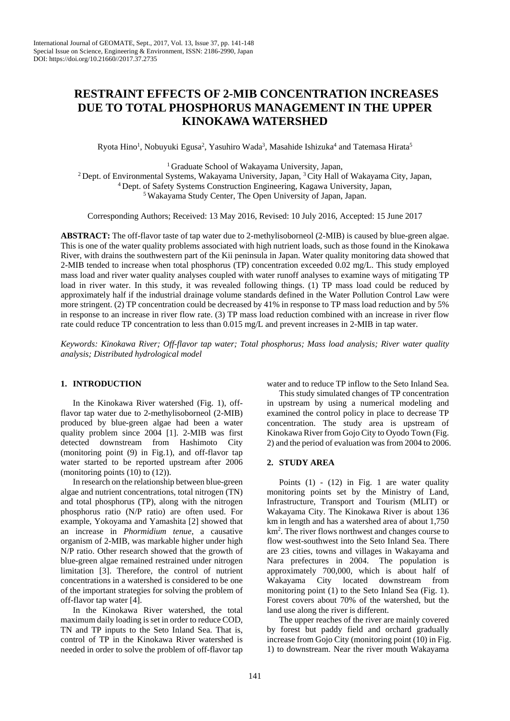# **RESTRAINT EFFECTS OF 2-MIB CONCENTRATION INCREASES DUE TO TOTAL PHOSPHORUS MANAGEMENT IN THE UPPER KINOKAWA WATERSHED**

Ryota Hino<sup>1</sup>, Nobuyuki Egusa<sup>2</sup>, Yasuhiro Wada<sup>3</sup>, Masahide Ishizuka<sup>4</sup> and Tatemasa Hirata<sup>5</sup>

1 Graduate School of Wakayama University, Japan,

<sup>2</sup> Dept. of Environmental Systems, Wakayama University, Japan, <sup>3</sup> City Hall of Wakayama City, Japan, <sup>4</sup> Dept. of Safety Systems Construction Engineering, Kagawa University, Japan, <sup>5</sup> Wakayama Study Center, The Open Un

Corresponding Authors; Received: 13 May 2016, Revised: 10 July 2016, Accepted: 15 June 2017

**ABSTRACT:** The off-flavor taste of tap water due to 2-methylisoborneol (2-MIB) is caused by blue-green algae. This is one of the water quality problems associated with high nutrient loads, such as those found in the Kinokawa River, with drains the southwestern part of the Kii peninsula in Japan. Water quality monitoring data showed that 2-MIB tended to increase when total phosphorus (TP) concentration exceeded 0.02 mg/L. This study employed mass load and river water quality analyses coupled with water runoff analyses to examine ways of mitigating TP load in river water. In this study, it was revealed following things. (1) TP mass load could be reduced by approximately half if the industrial drainage volume standards defined in the Water Pollution Control Law were more stringent. (2) TP concentration could be decreased by 41% in response to TP mass load reduction and by 5% in response to an increase in river flow rate. (3) TP mass load reduction combined with an increase in river flow rate could reduce TP concentration to less than 0.015 mg/L and prevent increases in 2-MIB in tap water.

*Keywords: Kinokawa River; Off-flavor tap water; Total phosphorus; Mass load analysis; River water quality analysis; Distributed hydrological model*

# **1. INTRODUCTION**

In the Kinokawa River watershed (Fig. 1), offflavor tap water due to 2-methylisoborneol (2-MIB) produced by blue-green algae had been a water quality problem since 2004 [1]. 2-MIB was first detected downstream from Hashimoto City (monitoring point (9) in Fig.1), and off-flavor tap water started to be reported upstream after 2006 (monitoring points (10) to (12)).

In research on the relationship between blue-green algae and nutrient concentrations, total nitrogen (TN) and total phosphorus (TP), along with the nitrogen phosphorus ratio (N/P ratio) are often used. For example, Yokoyama and Yamashita [2] showed that an increase in *Phormidium tenue*, a causative organism of 2-MIB, was markable higher under high N/P ratio. Other research showed that the growth of blue-green algae remained restrained under nitrogen limitation [3]. Therefore, the control of nutrient concentrations in a watershed is considered to be one of the important strategies for solving the problem of off-flavor tap water [4].

In the Kinokawa River watershed, the total maximum daily loading is set in order to reduce COD, TN and TP inputs to the Seto Inland Sea. That is, control of TP in the Kinokawa River watershed is needed in order to solve the problem of off-flavor tap

water and to reduce TP inflow to the Seto Inland Sea.

This study simulated changes of TP concentration in upstream by using a numerical modeling and examined the control policy in place to decrease TP concentration. The study area is upstream of Kinokawa River from Gojo City to Oyodo Town (Fig. 2) and the period of evaluation was from 2004 to 2006.

### **2. STUDY AREA**

Points  $(1)$  -  $(12)$  in Fig. 1 are water quality monitoring points set by the Ministry of Land, Infrastructure, Transport and Tourism (MLIT) or Wakayama City. The Kinokawa River is about 136 km in length and has a watershed area of about 1,750 km2 . The river flows northwest and changes course to flow west-southwest into the Seto Inland Sea. There are 23 cities, towns and villages in Wakayama and Nara prefectures in 2004. The population is approximately 700,000, which is about half of Wakayama City located downstream from monitoring point (1) to the Seto Inland Sea (Fig. 1). Forest covers about 70% of the watershed, but the land use along the river is different.

The upper reaches of the river are mainly covered by forest but paddy field and orchard gradually increase from Gojo City (monitoring point (10) in Fig. 1) to downstream. Near the river mouth Wakayama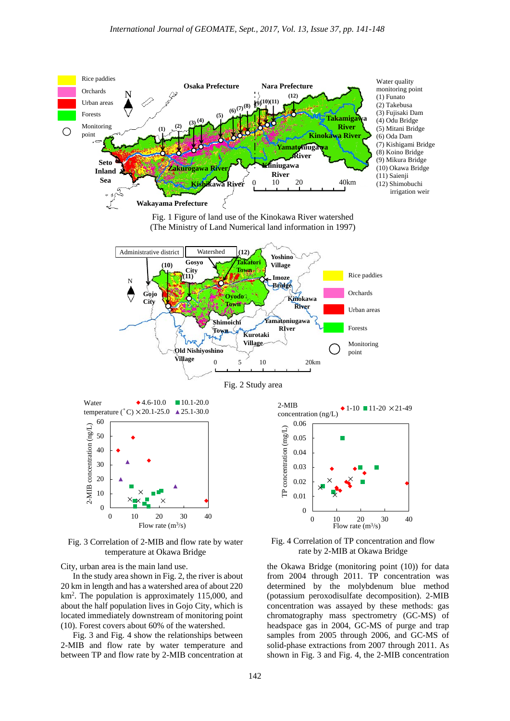







Fig. 3 Correlation of 2-MIB and flow rate by water temperature at Okawa Bridge

City, urban area is the main land use.

In the study area shown in Fig. 2, the river is about 20 km in length and has a watershed area of about 220 km2 . The population is approximately 115,000, and about the half population lives in Gojo City, which is located immediately downstream of monitoring point (10). Forest covers about 60% of the watershed.

Fig. 3 and Fig. 4 show the relationships between 2-MIB and flow rate by water temperature and between TP and flow rate by 2-MIB concentration at



Fig. 4 Correlation of TP concentration and flow rate by 2-MIB at Okawa Bridge

the Okawa Bridge (monitoring point (10)) for data from 2004 through 2011. TP concentration was determined by the molybdenum blue method (potassium peroxodisulfate decomposition). 2-MIB concentration was assayed by these methods: gas chromatography mass spectrometry (GC-MS) of headspace gas in 2004, GC-MS of purge and trap samples from 2005 through 2006, and GC-MS of solid-phase extractions from 2007 through 2011. As shown in Fig. 3 and Fig. 4, the 2-MIB concentration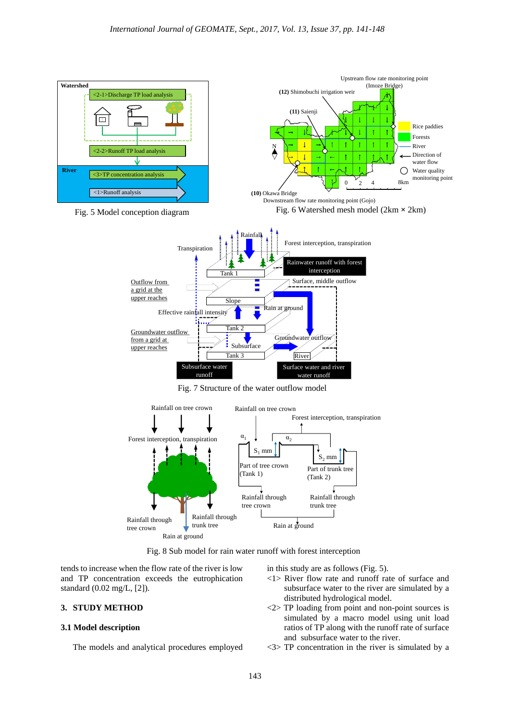

Fig. 8 Sub model for rain water runoff with forest interception

tends to increase when the flow rate of the river is low and TP concentration exceeds the eutrophication standard (0.02 mg/L, [2]).

## **3. STUDY METHOD**

#### **3.1 Model description**

The models and analytical procedures employed

in this study are as follows (Fig. 5).

- <1> River flow rate and runoff rate of surface and subsurface water to the river are simulated by a distributed hydrological model.
- <2> TP loading from point and non-point sources is simulated by a macro model using unit load ratios of TP along with the runoff rate of surface and subsurface water to the river.
- <3> TP concentration in the river is simulated by a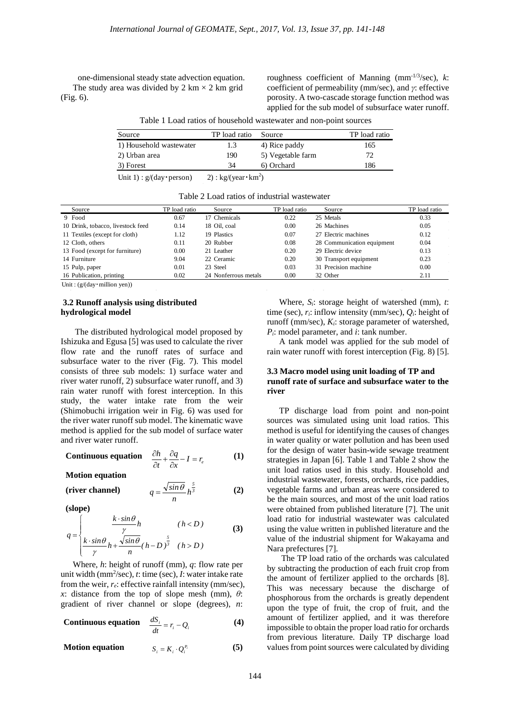one-dimensional steady state advection equation. The study area was divided by 2 km  $\times$  2 km grid (Fig. 6).

roughness coefficient of Manning (mm-1/3/sec), *k*: coefficient of permeability (mm/sec), and *γ*: effective porosity. A two-cascade storage function method was applied for the sub model of subsurface water runoff.

| Source                  | TP load ratio | Source            | TP load ratio |
|-------------------------|---------------|-------------------|---------------|
| 1) Household wastewater | 1.3           | 4) Rice paddy     | 165           |
| 2) Urban area           | 190           | 5) Vegetable farm | 72.           |
| 3) Forest               | 34            | 6) Orchard        | 186           |

Table 1 Load ratios of household wastewater and non-point sources

Unit 1) :  $g/(day \cdot person)$ 2):  $kg/(year \cdot km^2)$ 

Table 2 Load ratios of industrial wastewater

| Source                            | TP load ratio | Source               | TP load ratio | Source                     | TP load ratio |
|-----------------------------------|---------------|----------------------|---------------|----------------------------|---------------|
| 9 Food                            | 0.67          | 17 Chemicals         | 0.22          | 25 Metals                  | 0.33          |
| 10 Drink, tobacco, livestock feed | 0.14          | 18 Oil. coal         | 0.00          | 26 Machines                | 0.05          |
| 11 Textiles (except for cloth)    | 1.12          | 19 Plastics          | 0.07          | 27 Electric machines       | 0.12          |
| 12 Cloth, others                  | 0.11          | 20 Rubber            | 0.08          | 28 Communication equipment | 0.04          |
| 13 Food (except for furniture)    | 0.00          | 21 Leather           | 0.20          | 29 Electric device         | 0.13          |
| 14 Furniture                      | 9.04          | 22 Ceramic           | 0.20          | 30 Transport equipment     | 0.23          |
| 15 Pulp, paper                    | 0.01          | 23 Steel             | 0.03          | 31 Precision machine       | 0.00          |
| 16 Publication, printing          | 0.02          | 24 Nonferrous metals | 0.00          | 32 Other                   | 2.11          |

Unit : (g/(day・million yen))

#### **3.2 Runoff analysis using distributed hydrological model**

The distributed hydrological model proposed by Ishizuka and Egusa [5] was used to calculate the river flow rate and the runoff rates of surface and subsurface water to the river (Fig. 7). This model consists of three sub models: 1) surface water and river water runoff, 2) subsurface water runoff, and 3) rain water runoff with forest interception. In this study, the water intake rate from the weir (Shimobuchi irrigation weir in Fig. 6) was used for the river water runoff sub model. The kinematic wave method is applied for the sub model of surface water and river water runoff.

**Continuous equation** 
$$
\frac{\partial h}{\partial t} + \frac{\partial q}{\partial x} - I = r_e
$$
 (1)

**Motion equation**

$$
\text{(river channel)} \qquad \qquad q = \frac{\sqrt{\sin \theta}}{n} h^{\frac{5}{3}} \tag{2}
$$

**(slope)**

$$
q = \begin{cases} \frac{k \cdot \sin \theta}{\gamma} h & (h < D) \\ \frac{k \cdot \sin \theta}{\gamma} h + \frac{\sqrt{\sin \theta}}{n} (h - D)^{\frac{5}{\beta}} & (h > D) \end{cases}
$$
 (3)

Where, *h*: height of runoff (mm), *q*: flow rate per unit width (mm2 /sec), *t*: time (sec), *I*: water intake rate from the weir, *re*: effective rainfall intensity (mm/sec), *x*: distance from the top of slope mesh (mm), *θ*: gradient of river channel or slope (degrees), *n*:

**Continuous equation** 
$$
\frac{dS_i}{dt} = r_i - Q_i
$$
 (4)

**Motion equation**  $S = K \cdot O^{P_i}$  (5)  $S_i = K_i \cdot Q_i^{P_i}$ 

Where, *Si*: storage height of watershed (mm), *t*: time (sec), *ri*: inflow intensity (mm/sec), *Qi*: height of runoff (mm/sec), *Ki*: storage parameter of watershed, *Pi*: model parameter, and *i*: tank number.

A tank model was applied for the sub model of rain water runoff with forest interception (Fig. 8) [5].

## **3.3 Macro model using unit loading of TP and runoff rate of surface and subsurface water to the river**

TP discharge load from point and non-point sources was simulated using unit load ratios. This method is useful for identifying the causes of changes in water quality or water pollution and has been used for the design of water basin-wide sewage treatment strategies in Japan [6]. Table 1 and Table 2 show the unit load ratios used in this study. Household and industrial wastewater, forests, orchards, rice paddies, vegetable farms and urban areas were considered to be the main sources, and most of the unit load ratios were obtained from published literature [7]. The unit load ratio for industrial wastewater was calculated using the value written in published literature and the value of the industrial shipment for Wakayama and Nara prefectures [7].

The TP load ratio of the orchards was calculated by subtracting the production of each fruit crop from the amount of fertilizer applied to the orchards [8]. This was necessary because the discharge of phosphorous from the orchards is greatly dependent upon the type of fruit, the crop of fruit, and the amount of fertilizer applied, and it was therefore impossible to obtain the proper load ratio for orchards from previous literature. Daily TP discharge load values from point sources were calculated by dividing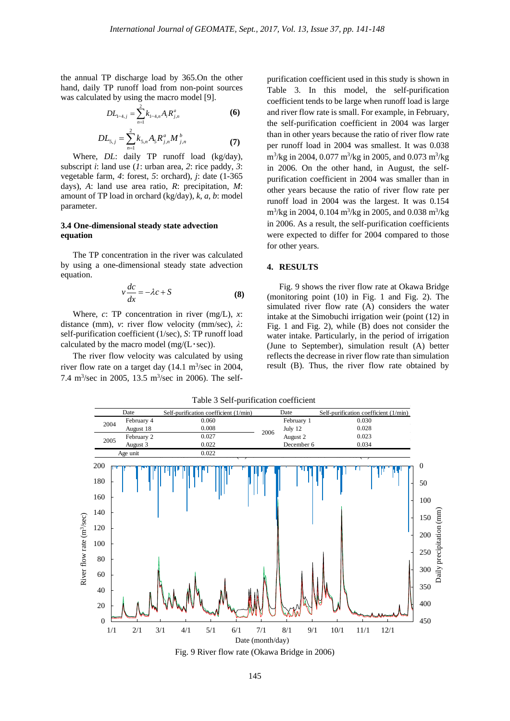the annual TP discharge load by 365.On the other hand, daily TP runoff load from non-point sources was calculated by using the macro model [9].

$$
DL_{1-4,j} = \sum_{n=1}^{2} k_{1-4,n} A_i R_{j,n}^a
$$
 (6)

$$
DL_{5,j} = \sum_{n=1}^{2} k_{5,n} A_{5} R_{j,n}^{a} M_{j,n}^{b}
$$
 (7)

Where, *DL*: daily TP runoff load (kg/day), subscript *i*: land use (*1*: urban area, *2*: rice paddy, *3*: vegetable farm, *4*: forest, *5*: orchard), *j*: date (1-365 days), *A*: land use area ratio, *R*: precipitation, *M*: amount of TP load in orchard (kg/day), *k*, *a*, *b*: model parameter.

#### **3.4 One-dimensional steady state advection equation**

The TP concentration in the river was calculated by using a one-dimensional steady state advection equation.

$$
v\frac{dc}{dx} = -\lambda c + S\tag{8}
$$

Where, *c*: TP concentration in river (mg/L), *x*: distance (mm), *v*: river flow velocity (mm/sec), *λ*: self-purification coefficient (1/sec), *S*: TP runoff load calculated by the macro model  $(mg/(L \cdot sec))$ .

The river flow velocity was calculated by using river flow rate on a target day  $(14.1 \text{ m}^3/\text{sec in } 2004,$ 7.4 m<sup>3</sup>/sec in 2005, 13.5 m<sup>3</sup>/sec in 2006). The selfpurification coefficient used in this study is shown in Table 3. In this model, the self-purification coefficient tends to be large when runoff load is large and river flow rate is small. For example, in February, the self-purification coefficient in 2004 was larger than in other years because the ratio of river flow rate per runoff load in 2004 was smallest. It was 0.038 m<sup>3</sup>/kg in 2004, 0.077 m<sup>3</sup>/kg in 2005, and 0.073 m<sup>3</sup>/kg in 2006. On the other hand, in August, the selfpurification coefficient in 2004 was smaller than in other years because the ratio of river flow rate per runoff load in 2004 was the largest. It was 0.154  $\text{m}^3/\text{kg}$  in 2004, 0.104  $\text{m}^3/\text{kg}$  in 2005, and 0.038  $\text{m}^3/\text{kg}$ in 2006. As a result, the self-purification coefficients were expected to differ for 2004 compared to those for other years.

#### **4. RESULTS**

Fig. 9 shows the river flow rate at Okawa Bridge (monitoring point (10) in Fig. 1 and Fig. 2). The simulated river flow rate (A) considers the water intake at the Simobuchi irrigation weir (point (12) in Fig. 1 and Fig. 2), while (B) does not consider the water intake. Particularly, in the period of irrigation (June to September), simulation result (A) better reflects the decrease in river flow rate than simulation result (B). Thus, the river flow rate obtained by



Fig. 9 River flow rate (Okawa Bridge in 2006)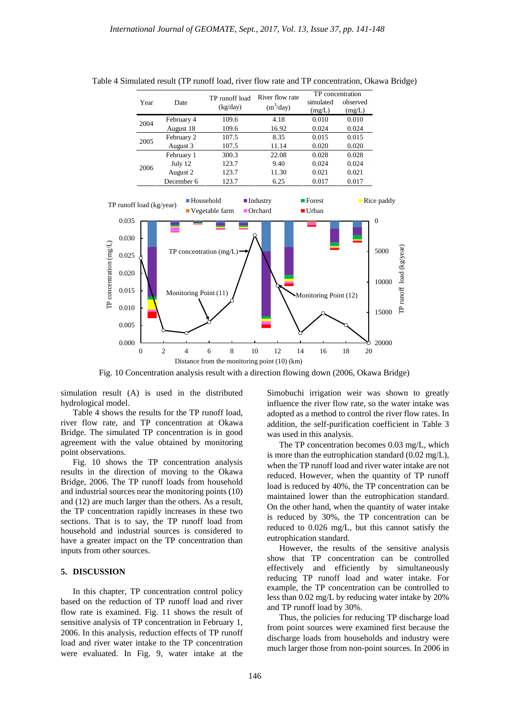| Year | Date       | TP runoff load<br>(kg/day) | River flow rate<br>$(m^3/day)$ | TP concentration<br>simulated<br>(mg/L) | observed<br>(mg/L) |
|------|------------|----------------------------|--------------------------------|-----------------------------------------|--------------------|
| 2004 | February 4 | 109.6                      | 4.18                           | 0.010                                   | 0.010              |
|      | August 18  | 109.6                      | 16.92                          | 0.024                                   | 0.024              |
| 2005 | February 2 | 107.5                      | 8.35                           | 0.015                                   | 0.015              |
|      | August 3   | 107.5                      | 11.14                          | 0.020                                   | 0.020              |
| 2006 | February 1 | 300.3                      | 22.08                          | 0.028                                   | 0.028              |
|      | July 12    | 123.7                      | 9.40                           | 0.024                                   | 0.024              |
|      | August 2   | 123.7                      | 11.30                          | 0.021                                   | 0.021              |
|      | December 6 | 123.7                      | 6.25                           | 0.017                                   | 0.017              |

Table 4 Simulated result (TP runoff load, river flow rate and TP concentration, Okawa Bridge)



Fig. 10 Concentration analysis result with a direction flowing down (2006, Okawa Bridge)

simulation result (A) is used in the distributed hydrological model.

Table 4 shows the results for the TP runoff load, river flow rate, and TP concentration at Okawa Bridge. The simulated TP concentration is in good agreement with the value obtained by monitoring point observations.

Fig. 10 shows the TP concentration analysis results in the direction of moving to the Okawa Bridge, 2006. The TP runoff loads from household and industrial sources near the monitoring points (10) and (12) are much larger than the others. As a result, the TP concentration rapidly increases in these two sections. That is to say, the TP runoff load from household and industrial sources is considered to have a greater impact on the TP concentration than inputs from other sources.

#### **5. DISCUSSION**

In this chapter, TP concentration control policy based on the reduction of TP runoff load and river flow rate is examined. Fig. 11 shows the result of sensitive analysis of TP concentration in February 1, 2006. In this analysis, reduction effects of TP runoff load and river water intake to the TP concentration were evaluated. In Fig. 9, water intake at the

Simobuchi irrigation weir was shown to greatly influence the river flow rate, so the water intake was adopted as a method to control the river flow rates. In addition, the self-purification coefficient in Table 3 was used in this analysis.

The TP concentration becomes 0.03 mg/L, which is more than the eutrophication standard  $(0.02 \text{ mg/L})$ , when the TP runoff load and river water intake are not reduced. However, when the quantity of TP runoff load is reduced by 40%, the TP concentration can be maintained lower than the eutrophication standard. On the other hand, when the quantity of water intake is reduced by 30%, the TP concentration can be reduced to 0.026 mg/L, but this cannot satisfy the eutrophication standard.

However, the results of the sensitive analysis show that TP concentration can be controlled effectively and efficiently by simultaneously reducing TP runoff load and water intake. For example, the TP concentration can be controlled to less than 0.02 mg/L by reducing water intake by 20% and TP runoff load by 30%.

Thus, the policies for reducing TP discharge load from point sources were examined first because the discharge loads from households and industry were much larger those from non-point sources. In 2006 in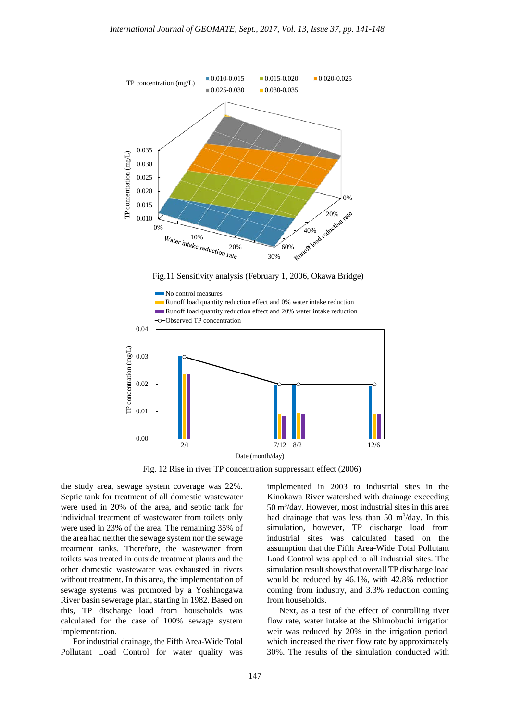

Fig.11 Sensitivity analysis (February 1, 2006, Okawa Bridge)



Fig. 12 Rise in river TP concentration suppressant effect (2006)

the study area, sewage system coverage was 22%. Septic tank for treatment of all domestic wastewater were used in 20% of the area, and septic tank for individual treatment of wastewater from toilets only were used in 23% of the area. The remaining 35% of the area had neither the sewage system nor the sewage treatment tanks. Therefore, the wastewater from toilets was treated in outside treatment plants and the other domestic wastewater was exhausted in rivers without treatment. In this area, the implementation of sewage systems was promoted by a Yoshinogawa River basin sewerage plan, starting in 1982. Based on this, TP discharge load from households was calculated for the case of 100% sewage system implementation.

For industrial drainage, the Fifth Area-Wide Total Pollutant Load Control for water quality was implemented in 2003 to industrial sites in the Kinokawa River watershed with drainage exceeding 50 m3 /day. However, most industrial sites in this area had drainage that was less than 50  $\text{m}^3/\text{day}$ . In this simulation, however, TP discharge load from industrial sites was calculated based on the assumption that the Fifth Area-Wide Total Pollutant Load Control was applied to all industrial sites. The simulation result shows that overall TP discharge load would be reduced by 46.1%, with 42.8% reduction coming from industry, and 3.3% reduction coming from households.

Next, as a test of the effect of controlling river flow rate, water intake at the Shimobuchi irrigation weir was reduced by 20% in the irrigation period, which increased the river flow rate by approximately 30%. The results of the simulation conducted with